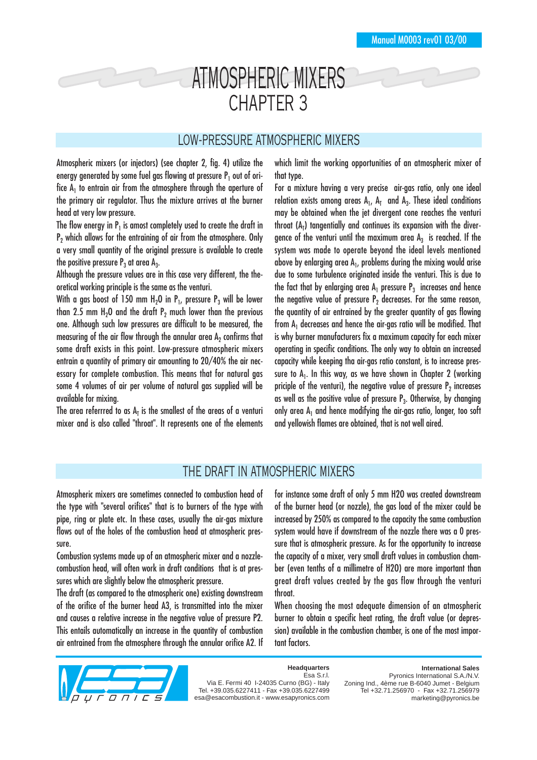# ATMOSPHERIC MIXERS CHAPTER 3

#### LOW-PRESSURE ATMOSPHERIC MIXERS

Atmospheric mixers (or injectors) (see chapter 2, fig. 4) utilize the energy generated by some fuel gas flowing at pressure  $P_1$  out of orifice  $A_1$  to entrain air from the atmosphere through the aperture of the primary air regulator. Thus the mixture arrives at the burner head at very low pressure.

The flow energy in  $P_1$  is amost completely used to create the draft in  $P<sub>2</sub>$  which allows for the entraining of air from the atmosphere. Only a very small quantity of the original pressure is available to create the positive pressure  $P_3$  at area  $A_3$ .

Although the pressure values are in this case very different, the theoretical working principle is the same as the venturi.

With a gas boost of 150 mm  $H_2O$  in  $P_1$ , pressure  $P_3$  will be lower than 2.5 mm  $H_2O$  and the draft  $P_2$  much lower than the previous one. Although such low pressures are difficult to be measured, the measuring of the air flow through the annular area  $A<sub>2</sub>$  confirms that some draft exists in this point. Low-pressure atmospheric mixers entrain a quantity of primary air amounting to 20/40% the air necessary for complete combustion. This means that for natural gas some 4 volumes of air per volume of natural gas supplied will be available for mixing.

The area referrred to as  $A_T$  is the smallest of the areas of a venturi mixer and is also called "throat". It represents one of the elements which limit the working opportunities of an atmospheric mixer of that type.

For a mixture having a very precise air-gas ratio, only one ideal relation exists among areas  $A_1$ ,  $A_T$  and  $A_3$ . These ideal conditions may be obtained when the jet divergent cone reaches the venturi throat (A<sub>T</sub>) tangentially and continues its expansion with the divergence of the venturi until the maximum area  $A_3$  is reached. If the system was made to operate beyond the ideal levels mentioned above by enlarging area  $A_1$ , problems during the mixing would arise due to some turbulence originated inside the venturi. This is due to the fact that by enlarging area  $A_1$  pressure  $P_3$  increases and hence the negative value of pressure  $P<sub>2</sub>$  decreases. For the same reason, the quantity of air entrained by the greater quantity of gas flowing from  $A_1$  decreases and hence the air-gas ratio will be modified. That is why burner manufacturers fix a maximum capacity for each mixer operating in specific conditions. The only way to obtain an increased capacity while keeping tha air-gas ratio constant, is to increase pressure to  $A_1$ . In this way, as we have shown in Chapter 2 (working priciple of the venturi), the negative value of pressure  $P_2$  increases as well as the positive value of pressure  $P_3$ . Otherwise, by changing only area  $A_1$  and hence modifying the air-gas ratio, longer, too soft and yellowish flames are obtained, that is not well aired.

## THE DRAFT IN ATMOSPHERIC MIXERS

Atmospheric mixers are sometimes connected to combustion head of the type with "several orifices" that is to burners of the type with pipe, ring or plate etc. In these cases, usually the air-gas mixture flows out of the holes of the combustion head at atmospheric pressure.

Combustion systems made up of an atmospheric mixer and a nozzlecombustion head, will often work in draft conditions that is at pressures which are slightly below the atmospheric pressure.

The draft (as compared to the atmospheric one) existing downstream of the orifice of the burner head A3, is transmitted into the mixer and causes a relative increase in the negative value of pressure P2. This entails automatically an increase in the quantity of combustion air entrained from the atmosphere through the annular orifice A2. If for instance some draft of only 5 mm H2O was created downstream of the burner head (or nozzle), the gas load of the mixer could be increased by 250% as compared to the capacity the same combustion system would have if downstream of the nozzle there was a 0 pressure that is atmospheric pressure. As for the opportunity to increase the capacity of a mixer, very small draft values in combustion chamber (even tenths of a millimetre of H2O) are more important than great draft values created by the gas flow through the venturi throat.

When choosing the most adequate dimension of an atmospheric burner to obtain a specific heat rating, the draft value (or depression) available in the combustion chamber, is one of the most important factors.



**Headquarters** Esa S.r.l.

Via E. Fermi 40 I-24035 Curno (BG) - Italy Tel. +39.035.6227411 - Fax +39.035.6227499 esa@esacombustion.it - www.esapyronics.com

**International Sales** Pyronics International S.A./N.V. Zoning Ind., 4ème rue B-6040 Jumet - Belgium Tel +32.71.256970 - Fax +32.71.256979 marketing@pyronics.be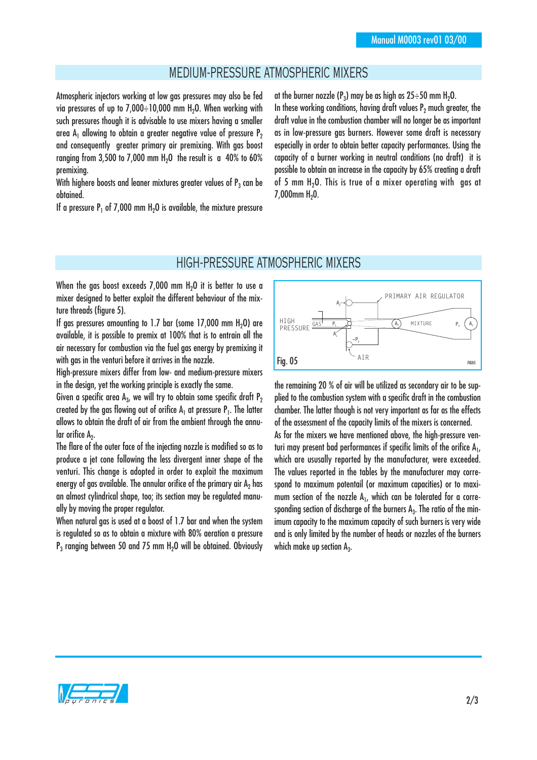## MEDIUM-PRESSURE ATMOSPHERIC MIXERS

Atmospheric injectors working at low gas pressures may also be fed via pressures of up to  $7,000 \div 10,000$  mm H<sub>2</sub>O. When working with such pressures though it is advisable to use mixers having a smaller area  $A_1$  allowing to obtain a greater negative value of pressure  $P_2$ and consequently greater primary air premixing. With gas boost ranging from  $3.500$  to  $7.000$  mm  $H<sub>2</sub>O$  the result is a 40% to 60% premixing.

With highere boosts and leaner mixtures greater values of  $P_3$  can be obtained.

If a pressure  $P_1$  of 7,000 mm H<sub>2</sub>O is available, the mixture pressure

at the burner nozzle ( $P_3$ ) may be as high as  $25 \div 50$  mm H<sub>2</sub>O. In these working conditions, having draft values  $P<sub>2</sub>$  much greater, the draft value in the combustion chamber will no longer be as important as in low-pressure gas burners. However some draft is necessary especially in order to obtain better capacity performances. Using the capacity of a burner working in neutral conditions (no draft) it is possible to obtain an increase in the capacity by 65% creating a draft of 5 mm H<sub>2</sub>O. This is true of a mixer operating with gas at  $7.000$ mm  $H<sub>2</sub>0$ .

#### HIGH-PRESSURE ATMOSPHERIC MIXERS

When the gas boost exceeds  $7.000$  mm  $H<sub>2</sub>O$  it is better to use a mixer designed to better exploit the different behaviour of the mixture threads (figure 5).

If gas pressures amounting to 1.7 bar (some  $17,000$  mm  $H<sub>2</sub>O$ ) are available, it is possible to premix at 100% that is to entrain all the air necessary for combustion via the fuel gas energy by premixing it with gas in the venturi before it arrives in the nozzle.

High-pressure mixers differ from low- and medium-pressure mixers in the design, yet the working principle is exactly the same.

Given a specific area  $A_3$ , we will try to obtain some specific draft  $P_2$ created by the gas flowing out of orifice  $A_1$  at pressure  $P_1$ . The latter allows to obtain the draft of air from the ambient through the annular orifice  $A_2$ .

The flare of the outer face of the injecting nozzle is modified so as to produce a jet cone following the less divergent inner shape of the venturi. This change is adopted in order to exploit the maximum energy of gas available. The annular orifice of the primary air  $A<sub>2</sub>$  has an almost cylindrical shape, too; its section may be regulated manually by moving the proper regulator.

When natural gas is used at a boost of 1.7 bar and when the system is regulated so as to obtain a mixture with 80% aeration a pressure  $P_3$  ranging between 50 and 75 mm H<sub>2</sub>O will be obtained. Obviously



the remaining 20 % of air will be utilized as secondary air to be supplied to the combustion system with a specific draft in the combustion chamber. The latter though is not very important as far as the effects of the assessment of the capacity limits of the mixers is concerned.

As for the mixers we have mentioned above, the high-pressure venturi may present bad performances if specific limits of the orifice  $A_1$ , which are ususally reported by the manufacturer, were exceeded. The values reported in the tables by the manufacturer may correspond to maximum potentail (or maximum capacities) or to maximum section of the nozzle  $A_1$ , which can be tolerated for a corresponding section of discharge of the burners  $A_3$ . The ratio of the minimum capacity to the maximum capacity of such burners is very wide and is only limited by the number of heads or nozzles of the burners which make up section  $A_3$ .